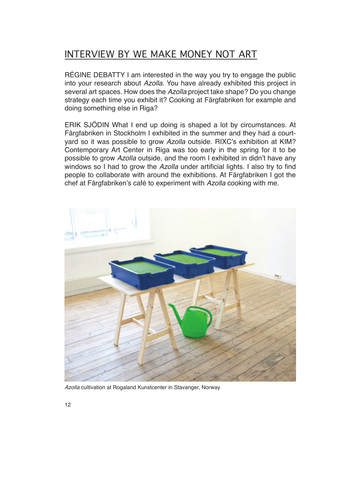## INTERVIEW BY WE MAKE MONEY NOT ART

RÉGINE DEBATTY I am interested in the way you try to engage the public into your research about *Azolla*. You have already exhibited this project in several art spaces. How does the *Azolla* project take shape? Do you change strategy each time you exhibit it? Cooking at Färgfabriken for example and doing something else in Riga?

ERIK SJÖDIN What I end up doing is shaped a lot by circumstances. At Färgfabriken in Stockholm I exhibited in the summer and they had a courtyard so it was possible to grow *Azolla* outside. RIXC's exhibition at KIM? Contemporary Art Center in Riga was too early in the spring for it to be possible to grow *Azolla* outside, and the room I exhibited in didn't have any windows so I had to grow the *Azolla* under artificial lights. I also try to find people to collaborate with around the exhibitions. At Färgfabriken I got the chef at Färgfabriken's café to experiment with Azolla cooking with me.



*Azolla* cultivation at Rogaland Kunstcenter in Stavanger, Norway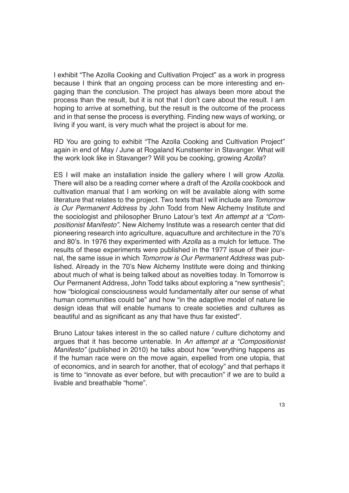I exhibit "The Azolla Cooking and Cultivation Project" as a work in progress because I think that an ongoing process can be more interesting and engaging than the conclusion. The project has always been more about the process than the result, but it is not that I don't care about the result. I am hoping to arrive at something, but the result is the outcome of the process and in that sense the process is everything. Finding new ways of working, or living if you want, is very much what the project is about for me.

RD You are going to exhibit "The Azolla Cooking and Cultivation Project" again in end of May / June at Rogaland Kunstsenter in Stavanger. What will the work look like in Stavanger? Will you be cooking, growing *Azolla*?

ES I will make an installation inside the gallery where I will grow *Azolla*. There will also be a reading corner where a draft of the *Azolla* cookbook and cultivation manual that I am working on will be available along with some literature that relates to the project. Two texts that I will include are *Tomorrow is Our Permanent Address* by John Todd from New Alchemy Institute and the sociologist and philosopher Bruno Latour's text An attempt at a "Com*positionist Manifesto"*. New Alchemy Institute was a research center that did pioneering research into agriculture, aquaculture and architecture in the 70's and 80's. In 1976 they experimented with Azolla as a mulch for lettuce. The results of these experiments were published in the 1977 issue of their journal, the same issue in which *Tomorrow is Our Permanent Address* was published. Already in the 70's New Alchemy Institute were doing and thinking about much of what is being talked about as novelties today. In Tomorrow is Our Permanent Address, John Todd talks about exploring a "new synthesis"; how "biological consciousness would fundamentally alter our sense of what human communities could be" and how "in the adaptive model of nature lie design ideas that will enable humans to create societies and cultures as beautiful and as significant as any that have thus far existed".

Bruno Latour takes interest in the so called nature / culture dichotomy and argues that it has become untenable. In *An attempt at a "Compositionist Manifesto"* (published in 2010) he talks about how "everything happens as if the human race were on the move again, expelled from one utopia, that of economics, and in search for another, that of ecology" and that perhaps it is time to "innovate as ever before, but with precaution" if we are to build a livable and breathable "home".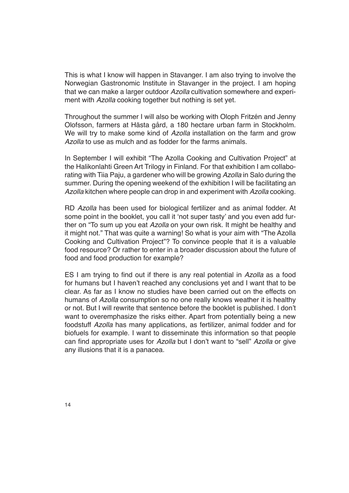This is what I know will happen in Stavanger. I am also trying to involve the Norwegian Gastronomic Institute in Stavanger in the project. I am hoping that we can make a larger outdoor *Azolla* cultivation somewhere and experiment with *Azolla* cooking together but nothing is set yet.

Throughout the summer I will also be working with Oloph Fritzén and Jenny Olofsson, farmers at Hästa gård, a 180 hectare urban farm in Stockholm. We will try to make some kind of *Azolla* installation on the farm and grow *Azolla* to use as mulch and as fodder for the farms animals.

In September I will exhibit "The Azolla Cooking and Cultivation Project" at the Halikonlahti Green Art Trilogy in Finland. For that exhibition I am collaborating with Tiia Paju, a gardener who will be growing *Azolla* in Salo during the summer. During the opening weekend of the exhibition I will be facilitating an *Azolla* kitchen where people can drop in and experiment with *Azolla* cooking.

RD *Azolla* has been used for biological fertilizer and as animal fodder. At some point in the booklet, you call it 'not super tasty' and you even add further on "To sum up you eat *Azolla* on your own risk. It might be healthy and it might not." That was quite a warning! So what is your aim with "The Azolla Cooking and Cultivation Project"? To convince people that it is a valuable food resource? Or rather to enter in a broader discussion about the future of food and food production for example?

ES I am trying to find out if there is any real potential in Azolla as a food for humans but I haven't reached any conclusions yet and I want that to be clear. As far as I know no studies have been carried out on the effects on humans of *Azolla* consumption so no one really knows weather it is healthy or not. But I will rewrite that sentence before the booklet is published. I don't want to overemphasize the risks either. Apart from potentially being a new foodstuff *Azolla* has many applications, as fertilizer, animal fodder and for biofuels for example. I want to disseminate this information so that people can find appropriate uses for Azolla but I don't want to "sell" Azolla or give any illusions that it is a panacea.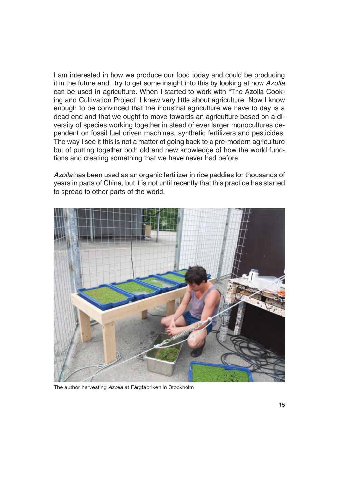I am interested in how we produce our food today and could be producing it in the future and I try to get some insight into this by looking at how *Azolla* can be used in agriculture. When I started to work with "The Azolla Cooking and Cultivation Project" I knew very little about agriculture. Now I know enough to be convinced that the industrial agriculture we have to day is a dead end and that we ought to move towards an agriculture based on a diversity of species working together in stead of ever larger monocultures dependent on fossil fuel driven machines, synthetic fertilizers and pesticides. The way I see it this is not a matter of going back to a pre-modern agriculture but of putting together both old and new knowledge of how the world functions and creating something that we have never had before.

*Azolla* has been used as an organic fertilizer in rice paddies for thousands of years in parts of China, but it is not until recently that this practice has started to spread to other parts of the world.



The author harvesting *Azolla* at Färgfabriken in Stockholm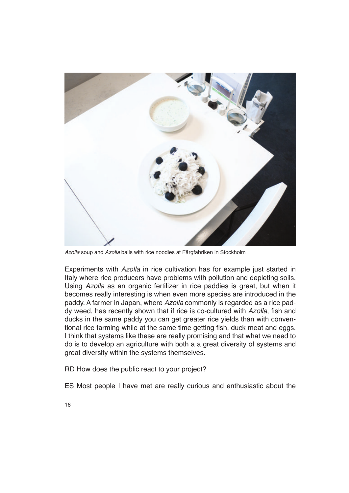

*Azolla* soup and *Azolla* balls with rice noodles at Färgfabriken in Stockholm

Experiments with *Azolla* in rice cultivation has for example just started in Italy where rice producers have problems with pollution and depleting soils. Using *Azolla* as an organic fertilizer in rice paddies is great, but when it becomes really interesting is when even more species are introduced in the paddy. A farmer in Japan, where *Azolla* commonly is regarded as a rice paddy weed, has recently shown that if rice is co-cultured with *Azolla*, fish and ducks in the same paddy you can get greater rice yields than with conventional rice farming while at the same time getting fish, duck meat and eggs. I think that systems like these are really promising and that what we need to do is to develop an agriculture with both a a great diversity of systems and great diversity within the systems themselves.

RD How does the public react to your project?

ES Most people I have met are really curious and enthusiastic about the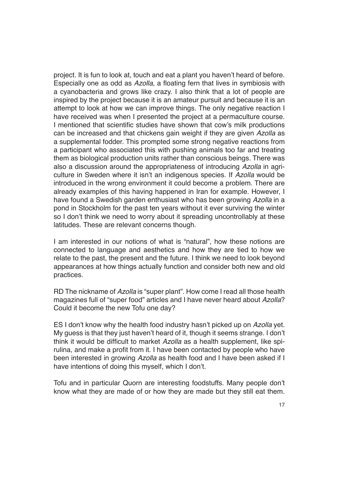project. It is fun to look at, touch and eat a plant you haven't heard of before. Especially one as odd as *Azolla*, a floating fern that lives in symbiosis with a cyanobacteria and grows like crazy. I also think that a lot of people are inspired by the project because it is an amateur pursuit and because it is an attempt to look at how we can improve things. The only negative reaction I have received was when I presented the project at a permaculture course. I mentioned that scientific studies have shown that cow's milk productions can be increased and that chickens gain weight if they are given *Azolla* as a supplemental fodder. This prompted some strong negative reactions from a participant who associated this with pushing animals too far and treating them as biological production units rather than conscious beings. There was also a discussion around the appropriateness of introducing *Azolla* in agriculture in Sweden where it isn't an indigenous species. If Azolla would be introduced in the wrong environment it could become a problem. There are already examples of this having happened in Iran for example. However, I have found a Swedish garden enthusiast who has been growing *Azolla* in a pond in Stockholm for the past ten years without it ever surviving the winter so I don't think we need to worry about it spreading uncontrollably at these latitudes. These are relevant concerns though.

I am interested in our notions of what is "natural", how these notions are connected to language and aesthetics and how they are tied to how we relate to the past, the present and the future. I think we need to look beyond appearances at how things actually function and consider both new and old practices.

RD The nickname of *Azolla* is "super plant". How come I read all those health magazines full of "super food" articles and I have never heard about *Azolla*? Could it become the new Tofu one day?

ES I don't know why the health food industry hasn't picked up on Azolla yet. My quess is that they just haven't heard of it, though it seems strange. I don't think it would be difficult to market Azolla as a health supplement, like spirulina, and make a profit from it. I have been contacted by people who have been interested in growing *Azolla* as health food and I have been asked if I have intentions of doing this myself, which I don't.

Tofu and in particular Quorn are interesting foodstuffs. Many people don't know what they are made of or how they are made but they still eat them.